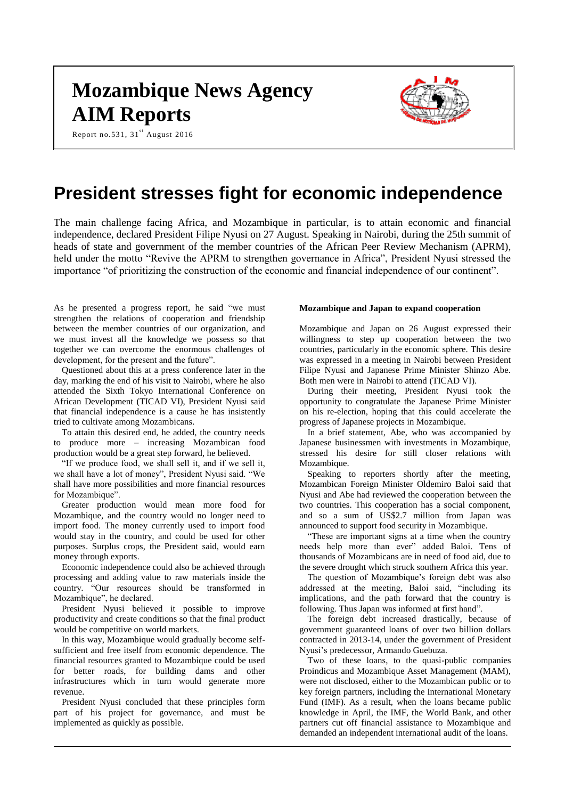# **Mozambique News Agency AIM Reports**

Report no.531,  $31^{\text{st}}$  August 2016



# **President stresses fight for economic independence**

The main challenge facing Africa, and Mozambique in particular, is to attain economic and financial independence, declared President Filipe Nyusi on 27 August. Speaking in Nairobi, during the 25th summit of heads of state and government of the member countries of the African Peer Review Mechanism (APRM), held under the motto "Revive the APRM to strengthen governance in Africa", President Nyusi stressed the importance "of prioritizing the construction of the economic and financial independence of our continent".

As he presented a progress report, he said "we must strengthen the relations of cooperation and friendship between the member countries of our organization, and we must invest all the knowledge we possess so that together we can overcome the enormous challenges of development, for the present and the future".

Questioned about this at a press conference later in the day, marking the end of his visit to Nairobi, where he also attended the Sixth Tokyo International Conference on African Development (TICAD VI), President Nyusi said that financial independence is a cause he has insistently tried to cultivate among Mozambicans.

To attain this desired end, he added, the country needs to produce more – increasing Mozambican food production would be a great step forward, he believed.

"If we produce food, we shall sell it, and if we sell it, we shall have a lot of money", President Nyusi said. "We shall have more possibilities and more financial resources for Mozambique".

Greater production would mean more food for Mozambique, and the country would no longer need to import food. The money currently used to import food would stay in the country, and could be used for other purposes. Surplus crops, the President said, would earn money through exports.

Economic independence could also be achieved through processing and adding value to raw materials inside the country. "Our resources should be transformed in Mozambique", he declared.

President Nyusi believed it possible to improve productivity and create conditions so that the final product would be competitive on world markets.

In this way, Mozambique would gradually become selfsufficient and free itself from economic dependence. The financial resources granted to Mozambique could be used for better roads, for building dams and other infrastructures which in turn would generate more revenue.

President Nyusi concluded that these principles form part of his project for governance, and must be implemented as quickly as possible.

#### **Mozambique and Japan to expand cooperation**

Mozambique and Japan on 26 August expressed their willingness to step up cooperation between the two countries, particularly in the economic sphere. This desire was expressed in a meeting in Nairobi between President Filipe Nyusi and Japanese Prime Minister Shinzo Abe. Both men were in Nairobi to attend (TICAD VI).

During their meeting, President Nyusi took the opportunity to congratulate the Japanese Prime Minister on his re-election, hoping that this could accelerate the progress of Japanese projects in Mozambique.

In a brief statement, Abe, who was accompanied by Japanese businessmen with investments in Mozambique, stressed his desire for still closer relations with Mozambique.

Speaking to reporters shortly after the meeting, Mozambican Foreign Minister Oldemiro Baloi said that Nyusi and Abe had reviewed the cooperation between the two countries. This cooperation has a social component, and so a sum of US\$2.7 million from Japan was announced to support food security in Mozambique.

"These are important signs at a time when the country needs help more than ever" added Baloi. Tens of thousands of Mozambicans are in need of food aid, due to the severe drought which struck southern Africa this year.

The question of Mozambique's foreign debt was also addressed at the meeting, Baloi said, "including its implications, and the path forward that the country is following. Thus Japan was informed at first hand".

The foreign debt increased drastically, because of government guaranteed loans of over two billion dollars contracted in 2013-14, under the government of President Nyusi's predecessor, Armando Guebuza.

Two of these loans, to the quasi-public companies Proindicus and Mozambique Asset Management (MAM), were not disclosed, either to the Mozambican public or to key foreign partners, including the International Monetary Fund (IMF). As a result, when the loans became public knowledge in April, the IMF, the World Bank, and other partners cut off financial assistance to Mozambique and demanded an independent international audit of the loans.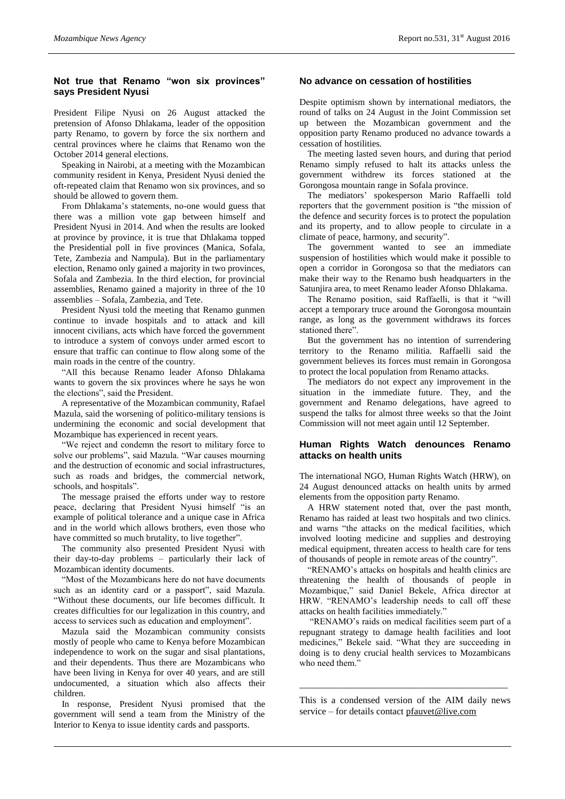# **Not true that Renamo "won six provinces" says President Nyusi**

President Filipe Nyusi on 26 August attacked the pretension of Afonso Dhlakama, leader of the opposition party Renamo, to govern by force the six northern and central provinces where he claims that Renamo won the October 2014 general elections.

Speaking in Nairobi, at a meeting with the Mozambican community resident in Kenya, President Nyusi denied the oft-repeated claim that Renamo won six provinces, and so should be allowed to govern them.

From Dhlakama's statements, no-one would guess that there was a million vote gap between himself and President Nyusi in 2014. And when the results are looked at province by province, it is true that Dhlakama topped the Presidential poll in five provinces (Manica, Sofala, Tete, Zambezia and Nampula). But in the parliamentary election, Renamo only gained a majority in two provinces, Sofala and Zambezia. In the third election, for provincial assemblies, Renamo gained a majority in three of the 10 assemblies – Sofala, Zambezia, and Tete.

President Nyusi told the meeting that Renamo gunmen continue to invade hospitals and to attack and kill innocent civilians, acts which have forced the government to introduce a system of convoys under armed escort to ensure that traffic can continue to flow along some of the main roads in the centre of the country.

"All this because Renamo leader Afonso Dhlakama wants to govern the six provinces where he says he won the elections", said the President.

A representative of the Mozambican community, Rafael Mazula, said the worsening of politico-military tensions is undermining the economic and social development that Mozambique has experienced in recent years.

"We reject and condemn the resort to military force to solve our problems", said Mazula. "War causes mourning and the destruction of economic and social infrastructures, such as roads and bridges, the commercial network, schools, and hospitals".

The message praised the efforts under way to restore peace, declaring that President Nyusi himself "is an example of political tolerance and a unique case in Africa and in the world which allows brothers, even those who have committed so much brutality, to live together".

The community also presented President Nyusi with their day-to-day problems – particularly their lack of Mozambican identity documents.

"Most of the Mozambicans here do not have documents such as an identity card or a passport", said Mazula. "Without these documents, our life becomes difficult. It creates difficulties for our legalization in this country, and access to services such as education and employment".

Mazula said the Mozambican community consists mostly of people who came to Kenya before Mozambican independence to work on the sugar and sisal plantations, and their dependents. Thus there are Mozambicans who have been living in Kenya for over 40 years, and are still undocumented, a situation which also affects their children.

In response, President Nyusi promised that the government will send a team from the Ministry of the Interior to Kenya to issue identity cards and passports.

#### **No advance on cessation of hostilities**

Despite optimism shown by international mediators, the round of talks on 24 August in the Joint Commission set up between the Mozambican government and the opposition party Renamo produced no advance towards a cessation of hostilities.

The meeting lasted seven hours, and during that period Renamo simply refused to halt its attacks unless the government withdrew its forces stationed at the Gorongosa mountain range in Sofala province.

The mediators' spokesperson Mario Raffaelli told reporters that the government position is "the mission of the defence and security forces is to protect the population and its property, and to allow people to circulate in a climate of peace, harmony, and security".

The government wanted to see an immediate suspension of hostilities which would make it possible to open a corridor in Gorongosa so that the mediators can make their way to the Renamo bush headquarters in the Satunjira area, to meet Renamo leader Afonso Dhlakama.

The Renamo position, said Raffaelli, is that it "will accept a temporary truce around the Gorongosa mountain range, as long as the government withdraws its forces stationed there".

But the government has no intention of surrendering territory to the Renamo militia. Raffaelli said the government believes its forces must remain in Gorongosa to protect the local population from Renamo attacks.

The mediators do not expect any improvement in the situation in the immediate future. They, and the government and Renamo delegations, have agreed to suspend the talks for almost three weeks so that the Joint Commission will not meet again until 12 September.

## **Human Rights Watch denounces Renamo attacks on health units**

The international NGO, Human Rights Watch (HRW), on 24 August denounced attacks on health units by armed elements from the opposition party Renamo.

A HRW statement noted that, over the past month, Renamo has raided at least two hospitals and two clinics. and warns "the attacks on the medical facilities, which involved looting medicine and supplies and destroying medical equipment, threaten access to health care for tens of thousands of people in remote areas of the country".

"RENAMO's attacks on hospitals and health clinics are threatening the health of thousands of people in Mozambique," said Daniel Bekele, Africa director at HRW. "RENAMO's leadership needs to call off these attacks on health facilities immediately."

"RENAMO's raids on medical facilities seem part of a repugnant strategy to damage health facilities and loot medicines," Bekele said. "What they are succeeding in doing is to deny crucial health services to Mozambicans who need them."

This is a condensed version of the AIM daily news service – for details contact [pfauvet@live.com](mailto:pfauvet@live.com)

\_\_\_\_\_\_\_\_\_\_\_\_\_\_\_\_\_\_\_\_\_\_\_\_\_\_\_\_\_\_\_\_\_\_\_\_\_\_\_\_\_\_\_\_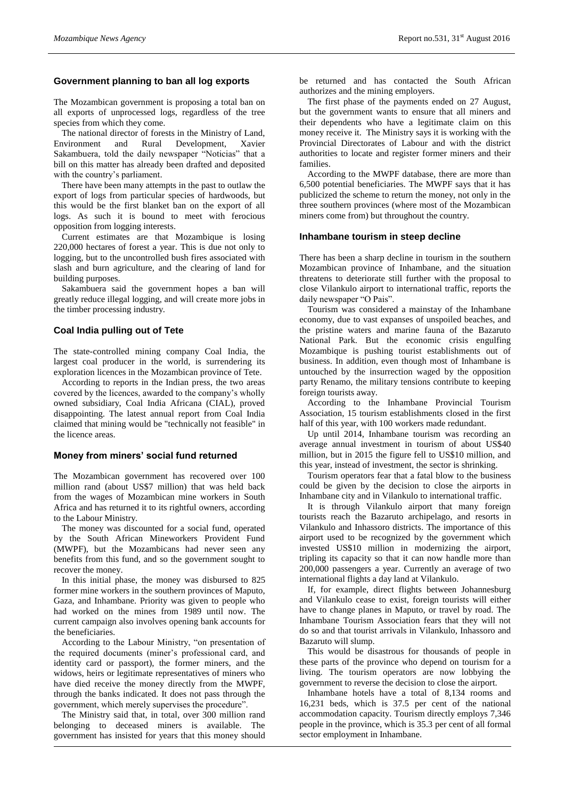# **Government planning to ban all log exports**

The Mozambican government is proposing a total ban on all exports of unprocessed logs, regardless of the tree species from which they come.

The national director of forests in the Ministry of Land, Environment and Rural Development, Xavier Sakambuera, told the daily newspaper "Noticias" that a bill on this matter has already been drafted and deposited with the country's parliament.

There have been many attempts in the past to outlaw the export of logs from particular species of hardwoods, but this would be the first blanket ban on the export of all logs. As such it is bound to meet with ferocious opposition from logging interests.

Current estimates are that Mozambique is losing 220,000 hectares of forest a year. This is due not only to logging, but to the uncontrolled bush fires associated with slash and burn agriculture, and the clearing of land for building purposes.

Sakambuera said the government hopes a ban will greatly reduce illegal logging, and will create more jobs in the timber processing industry.

#### **Coal India pulling out of Tete**

The state-controlled mining company Coal India, the largest coal producer in the world, is surrendering its exploration licences in the Mozambican province of Tete.

According to reports in the Indian press, the two areas covered by the licences, awarded to the company's wholly owned subsidiary, Coal India Africana (CIAL), proved disappointing. The latest annual report from Coal India claimed that mining would be "technically not feasible" in the licence areas.

#### **Money from miners' social fund returned**

The Mozambican government has recovered over 100 million rand (about US\$7 million) that was held back from the wages of Mozambican mine workers in South Africa and has returned it to its rightful owners, according to the Labour Ministry.

The money was discounted for a social fund, operated by the South African Mineworkers Provident Fund (MWPF), but the Mozambicans had never seen any benefits from this fund, and so the government sought to recover the money.

In this initial phase, the money was disbursed to 825 former mine workers in the southern provinces of Maputo, Gaza, and Inhambane. Priority was given to people who had worked on the mines from 1989 until now. The current campaign also involves opening bank accounts for the beneficiaries.

According to the Labour Ministry, "on presentation of the required documents (miner's professional card, and identity card or passport), the former miners, and the widows, heirs or legitimate representatives of miners who have died receive the money directly from the MWPF, through the banks indicated. It does not pass through the government, which merely supervises the procedure".

The Ministry said that, in total, over 300 million rand belonging to deceased miners is available. The government has insisted for years that this money should

be returned and has contacted the South African authorizes and the mining employers.

The first phase of the payments ended on 27 August, but the government wants to ensure that all miners and their dependents who have a legitimate claim on this money receive it. The Ministry says it is working with the Provincial Directorates of Labour and with the district authorities to locate and register former miners and their families.

According to the MWPF database, there are more than 6,500 potential beneficiaries. The MWPF says that it has publicized the scheme to return the money, not only in the three southern provinces (where most of the Mozambican miners come from) but throughout the country.

#### **Inhambane tourism in steep decline**

There has been a sharp decline in tourism in the southern Mozambican province of Inhambane, and the situation threatens to deteriorate still further with the proposal to close Vilankulo airport to international traffic, reports the daily newspaper "O Pais".

Tourism was considered a mainstay of the Inhambane economy, due to vast expanses of unspoiled beaches, and the pristine waters and marine fauna of the Bazaruto National Park. But the economic crisis engulfing Mozambique is pushing tourist establishments out of business. In addition, even though most of Inhambane is untouched by the insurrection waged by the opposition party Renamo, the military tensions contribute to keeping foreign tourists away.

According to the Inhambane Provincial Tourism Association, 15 tourism establishments closed in the first half of this year, with 100 workers made redundant.

Up until 2014, Inhambane tourism was recording an average annual investment in tourism of about US\$40 million, but in 2015 the figure fell to US\$10 million, and this year, instead of investment, the sector is shrinking.

Tourism operators fear that a fatal blow to the business could be given by the decision to close the airports in Inhambane city and in Vilankulo to international traffic.

It is through Vilankulo airport that many foreign tourists reach the Bazaruto archipelago, and resorts in Vilankulo and Inhassoro districts. The importance of this airport used to be recognized by the government which invested US\$10 million in modernizing the airport, tripling its capacity so that it can now handle more than 200,000 passengers a year. Currently an average of two international flights a day land at Vilankulo.

If, for example, direct flights between Johannesburg and Vilankulo cease to exist, foreign tourists will either have to change planes in Maputo, or travel by road. The Inhambane Tourism Association fears that they will not do so and that tourist arrivals in Vilankulo, Inhassoro and Bazaruto will slump.

This would be disastrous for thousands of people in these parts of the province who depend on tourism for a living. The tourism operators are now lobbying the government to reverse the decision to close the airport.

Inhambane hotels have a total of 8,134 rooms and 16,231 beds, which is 37.5 per cent of the national accommodation capacity. Tourism directly employs 7,346 people in the province, which is 35.3 per cent of all formal sector employment in Inhambane.